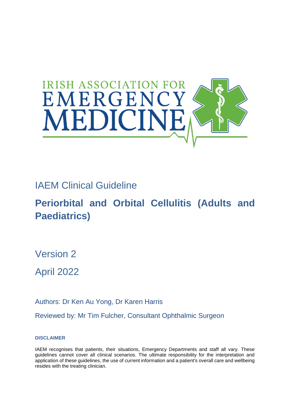

## IAEM Clinical Guideline

# **Periorbital and Orbital Cellulitis (Adults and Paediatrics)**

Version 2

April 2022

Authors: Dr Ken Au Yong, Dr Karen Harris

Reviewed by: Mr Tim Fulcher, Consultant Ophthalmic Surgeon

**DISCLAIMER**

IAEM recognises that patients, their situations, Emergency Departments and staff all vary. These guidelines cannot cover all clinical scenarios. The ultimate responsibility for the interpretation and application of these guidelines, the use of current information and a patient's overall care and wellbeing resides with the treating clinician.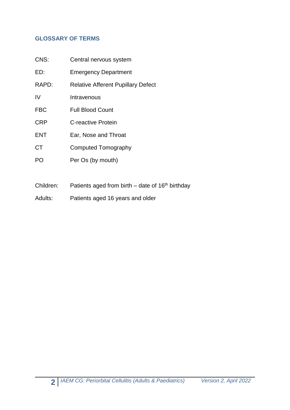#### **GLOSSARY OF TERMS**

| CNS:       | Central nervous system                    |  |
|------------|-------------------------------------------|--|
| ED:        | <b>Emergency Department</b>               |  |
| RAPD:      | <b>Relative Afferent Pupillary Defect</b> |  |
| IV         | Intravenous                               |  |
| <b>FBC</b> | <b>Full Blood Count</b>                   |  |
| <b>CRP</b> | C-reactive Protein                        |  |
| <b>ENT</b> | Ear, Nose and Throat                      |  |
| <b>CT</b>  | Computed Tomography                       |  |
| PO         | Per Os (by mouth)                         |  |
|            |                                           |  |

- Children: Patients aged from birth  $-$  date of 16<sup>th</sup> birthday
- Adults: Patients aged 16 years and older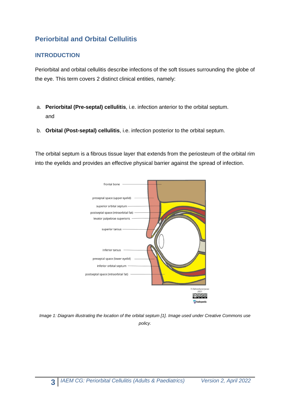### **Periorbital and Orbital Cellulitis**

#### **INTRODUCTION**

Periorbital and orbital cellulitis describe infections of the soft tissues surrounding the globe of the eye. This term covers 2 distinct clinical entities, namely:

- a. **Periorbital (Pre-septal) cellulitis**, i.e. infection anterior to the orbital septum. and
- b. **Orbital (Post-septal) cellulitis**, i.e. infection posterior to the orbital septum.

The orbital septum is a fibrous tissue layer that extends from the periosteum of the orbital rim into the eyelids and provides an effective physical barrier against the spread of infection.



*Image 1: Diagram illustrating the location of the orbital septum [1]. Image used under Creative Commons use policy.*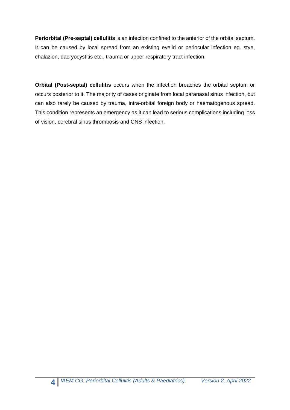**Periorbital (Pre-septal) cellulitis** is an infection confined to the anterior of the orbital septum. It can be caused by local spread from an existing eyelid or periocular infection eg. stye, chalazion, dacryocystitis etc., trauma or upper respiratory tract infection.

**Orbital (Post-septal) cellulitis** occurs when the infection breaches the orbital septum or occurs posterior to it. The majority of cases originate from local paranasal sinus infection, but can also rarely be caused by trauma, intra-orbital foreign body or haematogenous spread. This condition represents an emergency as it can lead to serious complications including loss of vision, cerebral sinus thrombosis and CNS infection.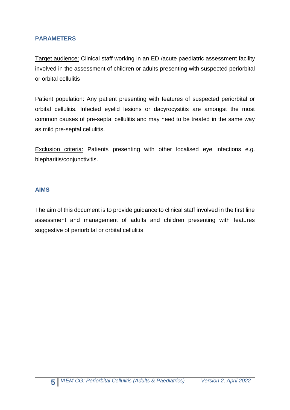#### **PARAMETERS**

Target audience: Clinical staff working in an ED /acute paediatric assessment facility involved in the assessment of children or adults presenting with suspected periorbital or orbital cellulitis

Patient population: Any patient presenting with features of suspected periorbital or orbital cellulitis. Infected eyelid lesions or dacyrocystitis are amongst the most common causes of pre-septal cellulitis and may need to be treated in the same way as mild pre-septal cellulitis.

Exclusion criteria: Patients presenting with other localised eye infections e.g. blepharitis/conjunctivitis.

#### **AIMS**

The aim of this document is to provide guidance to clinical staff involved in the first line assessment and management of adults and children presenting with features suggestive of periorbital or orbital cellulitis.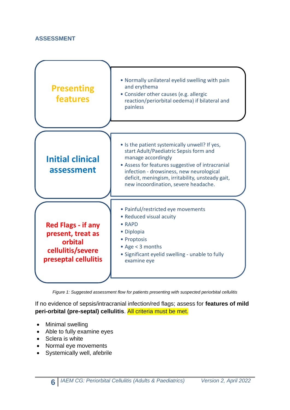#### **ASSESSMENT**



*Figure 1: Suggested assessment flow for patients presenting with suspected periorbital cellulitis*

If no evidence of sepsis/intracranial infection/red flags; assess for **features of mild peri-orbital (pre-septal) cellulitis**. All criteria must be met.

- Minimal swelling
- Able to fully examine eyes
- Sclera is white
- Normal eye movements
- Systemically well, afebrile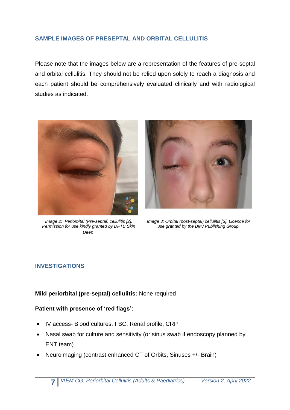#### **SAMPLE IMAGES OF PRESEPTAL AND ORBITAL CELLULITIS**

Please note that the images below are a representation of the features of pre-septal and orbital cellulitis. They should not be relied upon solely to reach a diagnosis and each patient should be comprehensively evaluated clinically and with radiological studies as indicated.



*Image 2: Periorbital (Pre-septal) cellulitis [2]. Permission for use kindly granted by DFTB Skin Deep*.



*Image 3: Orbital (post-septal) cellulitis [3]. Licence for use granted by the BMJ Publishing Group.*

#### **INVESTIGATIONS**

#### **Mild periorbital (pre-septal) cellulitis:** None required

#### **Patient with presence of 'red flags':**

- IV access- Blood cultures, FBC, Renal profile, CRP
- Nasal swab for culture and sensitivity (or sinus swab if endoscopy planned by ENT team)
- Neuroimaging (contrast enhanced CT of Orbits, Sinuses +/- Brain)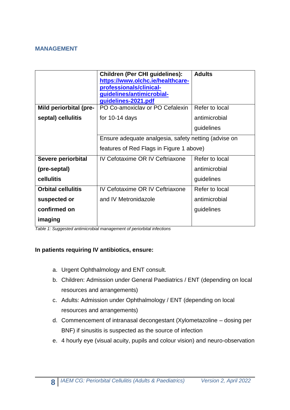#### **MANAGEMENT**

|                           | <b>Children (Per CHI guidelines):</b><br>https://www.olchc.ie/healthcare-<br>professionals/clinical-<br>guidelines/antimicrobial-<br>guidelines-2021.pdf | <b>Adults</b>  |  |
|---------------------------|----------------------------------------------------------------------------------------------------------------------------------------------------------|----------------|--|
| Mild periorbital (pre-    | PO Co-amoxiclav or PO Cefalexin                                                                                                                          | Refer to local |  |
| septal) cellulitis        | for $10-14$ days                                                                                                                                         | antimicrobial  |  |
|                           |                                                                                                                                                          | guidelines     |  |
|                           | Ensure adequate analgesia, safety netting (advise on                                                                                                     |                |  |
|                           | features of Red Flags in Figure 1 above)                                                                                                                 |                |  |
| Severe periorbital        | IV Cefotaxime OR IV Ceftriaxone                                                                                                                          | Refer to local |  |
| (pre-septal)              |                                                                                                                                                          | antimicrobial  |  |
| cellulitis                |                                                                                                                                                          | guidelines     |  |
| <b>Orbital cellulitis</b> | IV Cefotaxime OR IV Ceftriaxone                                                                                                                          | Refer to local |  |
| suspected or              | and IV Metronidazole                                                                                                                                     | antimicrobial  |  |
| confirmed on              |                                                                                                                                                          | guidelines     |  |
| imaging                   |                                                                                                                                                          |                |  |

*Table 1: Suggested antimicrobial management of periorbital infections*

#### **In patients requiring IV antibiotics, ensure:**

- a. Urgent Ophthalmology and ENT consult.
- b. Children: Admission under General Paediatrics / ENT (depending on local resources and arrangements)
- c. Adults: Admission under Ophthalmology / ENT (depending on local resources and arrangements)
- d. Commencement of intranasal decongestant (Xylometazoline dosing per BNF) if sinusitis is suspected as the source of infection
- e. 4 hourly eye (visual acuity, pupils and colour vision) and neuro-observation